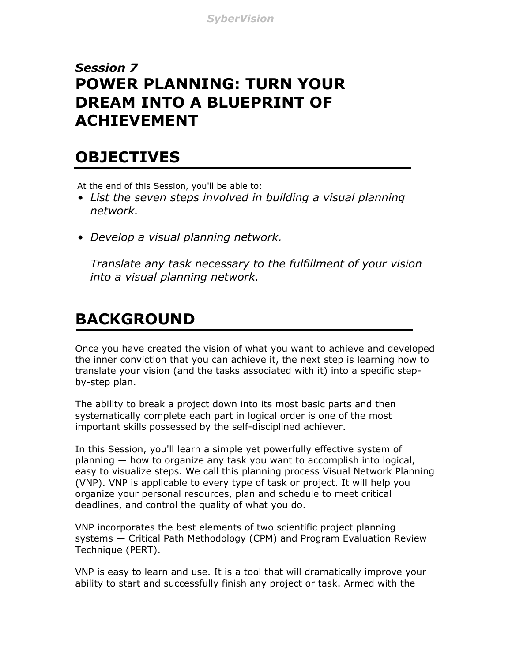### *Session 7* **POWER PLANNING: TURN YOUR DREAM INTO A BLUEPRINT OF ACHIEVEMENT**

## **OBJECTIVES**

At the end of this Session, you'll be able to:

- *List the seven steps involved in building a visual planning network.*
- *Develop a visual planning network.*

*Translate any task necessary to the fulfillment of your vision into a visual planning network.*

# **BACKGROUND**

Once you have created the vision of what you want to achieve and developed the inner conviction that you can achieve it, the next step is learning how to translate your vision (and the tasks associated with it) into a specific stepby-step plan.

The ability to break a project down into its most basic parts and then systematically complete each part in logical order is one of the most important skills possessed by the self-disciplined achiever.

In this Session, you'll learn a simple yet powerfully effective system of planning — how to organize any task you want to accomplish into logical, easy to visualize steps. We call this planning process Visual Network Planning (VNP). VNP is applicable to every type of task or project. It will help you organize your personal resources, plan and schedule to meet critical deadlines, and control the quality of what you do.

VNP incorporates the best elements of two scientific project planning systems — Critical Path Methodology (CPM) and Program Evaluation Review Technique (PERT).

VNP is easy to learn and use. It is a tool that will dramatically improve your ability to start and successfully finish any project or task. Armed with the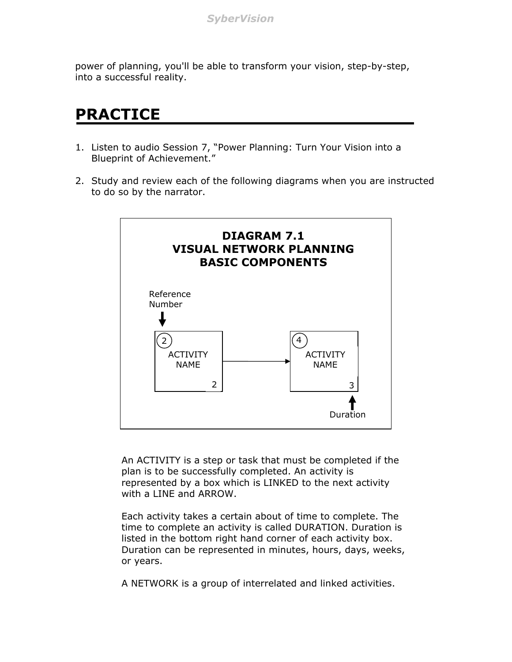power of planning, you'll be able to transform your vision, step-by-step, into a successful reality.

### **PRACTICE**

- 1. Listen to audio Session 7, "Power Planning: Turn Your Vision into a Blueprint of Achievement."
- 2. Study and review each of the following diagrams when you are instructed to do so by the narrator.



An ACTIVITY is a step or task that must be completed if the plan is to be successfully completed. An activity is represented by a box which is LINKED to the next activity with a LINE and ARROW.

Each activity takes a certain about of time to complete. The time to complete an activity is called DURATION. Duration is listed in the bottom right hand corner of each activity box. Duration can be represented in minutes, hours, days, weeks, or years.

A NETWORK is a group of interrelated and linked activities.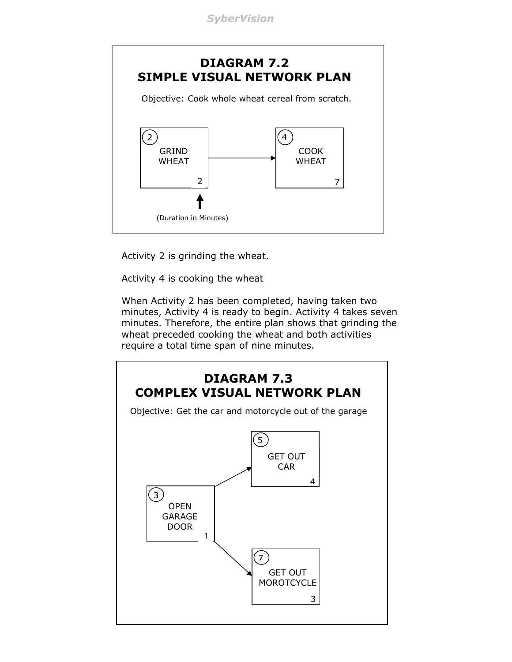*SyberVision*



Activity 2 is grinding the wheat.

Activity 4 is cooking the wheat

When Activity 2 has been completed, having taken two minutes, Activity 4 is ready to begin. Activity 4 takes seven minutes. Therefore, the entire plan shows that grinding the wheat preceded cooking the wheat and both activities require a total time span of nine minutes.

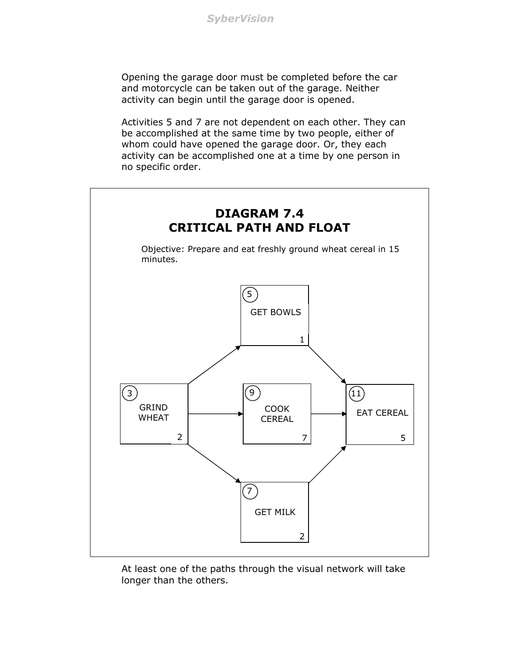Opening the garage door must be completed before the car and motorcycle can be taken out of the garage. Neither activity can begin until the garage door is opened.

Activities 5 and 7 are not dependent on each other. They can be accomplished at the same time by two people, either of whom could have opened the garage door. Or, they each activity can be accomplished one at a time by one person in no specific order.



At least one of the paths through the visual network will take longer than the others.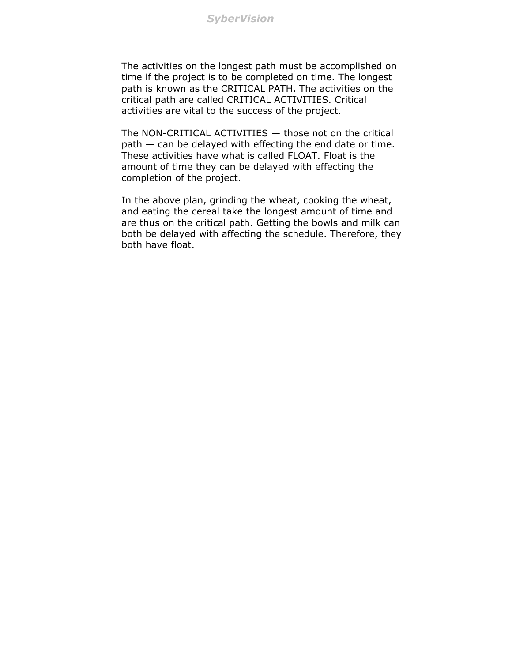*SyberVision*

The activities on the longest path must be accomplished on time if the project is to be completed on time. The longest path is known as the CRITICAL PATH. The activities on the critical path are called CRITICAL ACTIVITIES. Critical activities are vital to the success of the project.

The NON-CRITICAL ACTIVITIES — those not on the critical path — can be delayed with effecting the end date or time. These activities have what is called FLOAT. Float is the amount of time they can be delayed with effecting the completion of the project.

In the above plan, grinding the wheat, cooking the wheat, and eating the cereal take the longest amount of time and are thus on the critical path. Getting the bowls and milk can both be delayed with affecting the schedule. Therefore, they both have float.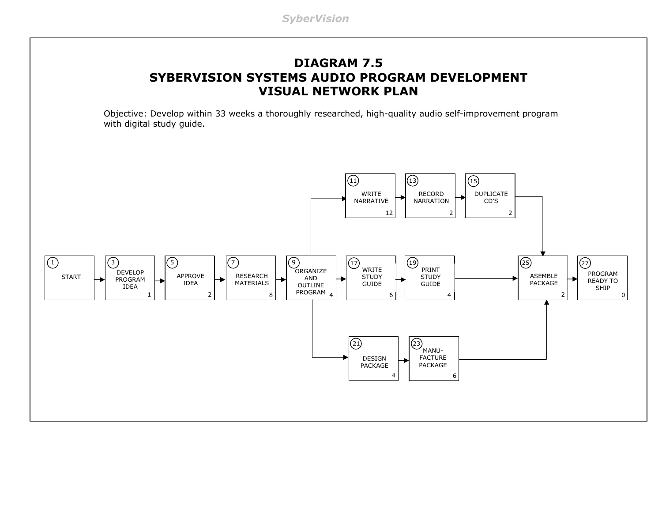### **DIAGRAM 7.5 SYBERVISION SYSTEMS AUDIO PROGRAM DEVELOPMENT VISUAL NETWORK PLAN**

Objective: Develop within 33 weeks a thoroughly researched, high-quality audio self-improvement program with digital study guide.

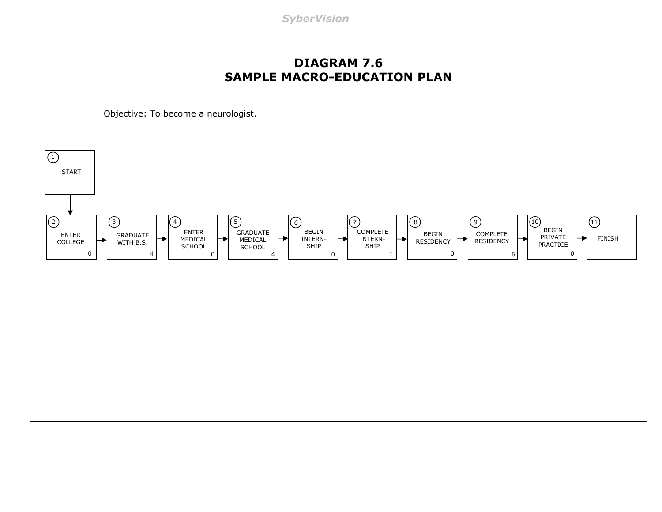*SyberVision*